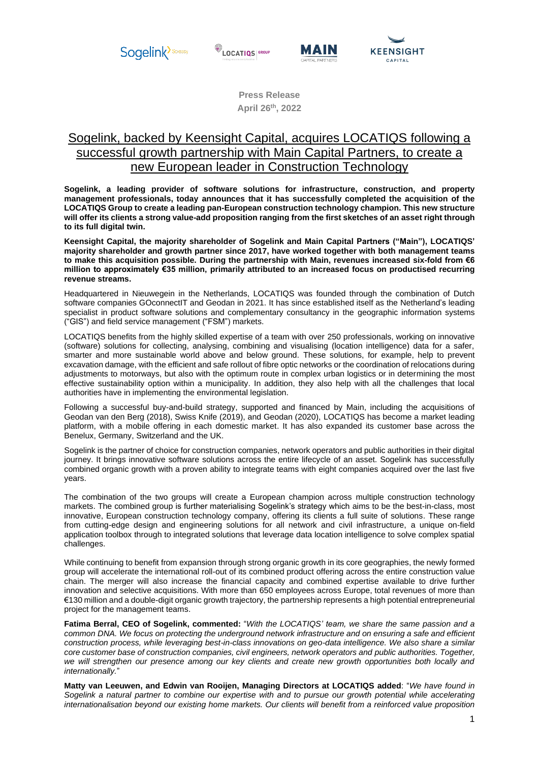

**LOCATIOS** 





**Press Release April 26 th , 2022**

# Sogelink, backed by Keensight Capital, acquires LOCATIQS following a successful growth partnership with Main Capital Partners, to create a new European leader in Construction Technology

**Sogelink, a leading provider of software solutions for infrastructure, construction, and property management professionals, today announces that it has successfully completed the acquisition of the LOCATIQS Group to create a leading pan-European construction technology champion. This new structure will offer its clients a strong value-add proposition ranging from the first sketches of an asset right through to its full digital twin.**

**Keensight Capital, the majority shareholder of Sogelink and Main Capital Partners ("Main"), LOCATIQS' majority shareholder and growth partner since 2017, have worked together with both management teams to make this acquisition possible. During the partnership with Main, revenues increased six-fold from €6 million to approximately €35 million, primarily attributed to an increased focus on productised recurring revenue streams.**

Headquartered in Nieuwegein in the Netherlands, LOCATIQS was founded through the combination of Dutch software companies GOconnectIT and Geodan in 2021. It has since established itself as the Netherland's leading specialist in product software solutions and complementary consultancy in the geographic information systems ("GIS") and field service management ("FSM") markets.

LOCATIQS benefits from the highly skilled expertise of a team with over 250 professionals, working on innovative (software) solutions for collecting, analysing, combining and visualising (location intelligence) data for a safer, smarter and more sustainable world above and below ground. These solutions, for example, help to prevent excavation damage, with the efficient and safe rollout of fibre optic networks or the coordination of relocations during adjustments to motorways, but also with the optimum route in complex urban logistics or in determining the most effective sustainability option within a municipality. In addition, they also help with all the challenges that local authorities have in implementing the environmental legislation.

Following a successful buy-and-build strategy, supported and financed by Main, including the acquisitions of Geodan van den Berg (2018), Swiss Knife (2019), and Geodan (2020), LOCATIQS has become a market leading platform, with a mobile offering in each domestic market. It has also expanded its customer base across the Benelux, Germany, Switzerland and the UK.

Sogelink is the partner of choice for construction companies, network operators and public authorities in their digital journey. It brings innovative software solutions across the entire lifecycle of an asset. Sogelink has successfully combined organic growth with a proven ability to integrate teams with eight companies acquired over the last five years.

The combination of the two groups will create a European champion across multiple construction technology markets. The combined group is further materialising Sogelink's strategy which aims to be the best-in-class, most innovative, European construction technology company, offering its clients a full suite of solutions. These range from cutting-edge design and engineering solutions for all network and civil infrastructure, a unique on-field application toolbox through to integrated solutions that leverage data location intelligence to solve complex spatial challenges.

While continuing to benefit from expansion through strong organic growth in its core geographies, the newly formed group will accelerate the international roll-out of its combined product offering across the entire construction value chain. The merger will also increase the financial capacity and combined expertise available to drive further innovation and selective acquisitions. With more than 650 employees across Europe, total revenues of more than €130 million and a double-digit organic growth trajectory, the partnership represents a high potential entrepreneurial project for the management teams.

**Fatima Berral, CEO of Sogelink, commented:** "*With the LOCATIQS' team, we share the same passion and a common DNA. We focus on protecting the underground network infrastructure and on ensuring a safe and efficient construction process, while leveraging best-in-class innovations on geo-data intelligence. We also share a similar core customer base of construction companies, civil engineers, network operators and public authorities. Together, we will strengthen our presence among our key clients and create new growth opportunities both locally and internationally.*"

**Matty van Leeuwen, and Edwin van Rooijen, Managing Directors at LOCATIQS added**: "*We have found in Sogelink a natural partner to combine our expertise with and to pursue our growth potential while accelerating internationalisation beyond our existing home markets. Our clients will benefit from a reinforced value proposition*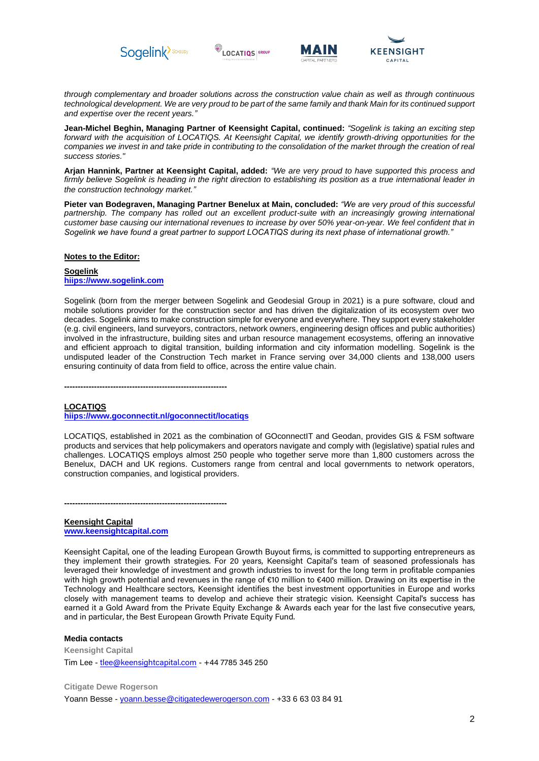







*through complementary and broader solutions across the construction value chain as well as through continuous technological development. We are very proud to be part of the same family and thank Main for its continued support and expertise over the recent years."*

**Jean-Michel Beghin, Managing Partner of Keensight Capital, continued:** *"Sogelink is taking an exciting step forward with the acquisition of LOCATIQS. At Keensight Capital, we identify growth-driving opportunities for the companies we invest in and take pride in contributing to the consolidation of the market through the creation of real success stories."* 

**Arjan Hannink, Partner at Keensight Capital, added:** *"We are very proud to have supported this process and firmly believe Sogelink is heading in the right direction to establishing its position as a true international leader in the construction technology market."* 

**Pieter van Bodegraven, Managing Partner Benelux at Main, concluded:** *"We are very proud of this successful partnership. The company has rolled out an excellent product-suite with an increasingly growing international customer base causing our international revenues to increase by over 50% year-on-year. We feel confident that in Sogelink we have found a great partner to support LOCATIQS during its next phase of international growth."*

#### **Notes to the Editor:**

#### **Sogelink hiips://www.sogelink.com**

Sogelink (born from the merger between Sogelink and Geodesial Group in 2021) is a pure software, cloud and mobile solutions provider for the construction sector and has driven the digitalization of its ecosystem over two decades. Sogelink aims to make construction simple for everyone and everywhere. They support every stakeholder (e.g. civil engineers, land surveyors, contractors, network owners, engineering design offices and public authorities) involved in the infrastructure, building sites and urban resource management ecosystems, offering an innovative and efficient approach to digital transition, building information and city information modelling. Sogelink is the undisputed leader of the Construction Tech market in France serving over 34,000 clients and 138,000 users ensuring continuity of data from field to office, across the entire value chain.

**------------------------------------------------------------**

**------------------------------------------------------------** 

#### **LOCATIQS**

**hiips://www.goconnectit.nl/goconnectit/locatiqs**

LOCATIQS, established in 2021 as the combination of GOconnectIT and Geodan, provides GIS & FSM software products and services that help policymakers and operators navigate and comply with (legislative) spatial rules and challenges. LOCATIQS employs almost 250 people who together serve more than 1,800 customers across the Benelux, DACH and UK regions. Customers range from central and local governments to network operators, construction companies, and logistical providers.

**Keensight Capital www.keensightcapital.com**

Keensight Capital, one of the leading European Growth Buyout firms, is committed to supporting entrepreneurs as they implement their growth strategies. For 20 years, Keensight Capital's team of seasoned professionals has leveraged their knowledge of investment and growth industries to invest for the long term in profitable companies with high growth potential and revenues in the range of €10 million to €400 million. Drawing on its expertise in the Technology and Healthcare sectors, Keensight identifies the best investment opportunities in Europe and works closely with management teams to develop and achieve their strategic vision. Keensight Capital's success has earned it a Gold Award from the Private Equity Exchange & Awards each year for the last five consecutive years, and in particular, the Best European Growth Private Equity Fund.

## **Media contacts**

**Keensight Capital**  Tim Lee - tlee@keensightcapital.com - +44 7785 345 250

**Citigate Dewe Rogerson**  Yoann Besse - yoann.besse@citigatedewerogerson.com - +33 6 63 03 84 91